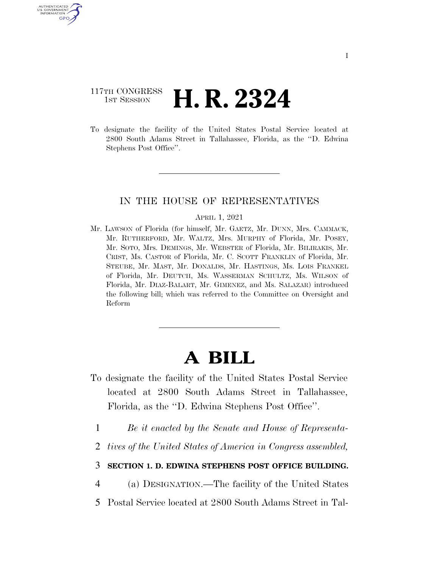## 117TH CONGRESS <sup>TH CONGRESS</sup> **H. R. 2324**

U.S. GOVERNMENT GPO

> To designate the facility of the United States Postal Service located at 2800 South Adams Street in Tallahassee, Florida, as the ''D. Edwina Stephens Post Office''.

## IN THE HOUSE OF REPRESENTATIVES

## APRIL 1, 2021

Mr. LAWSON of Florida (for himself, Mr. GAETZ, Mr. DUNN, Mrs. CAMMACK, Mr. RUTHERFORD, Mr. WALTZ, Mrs. MURPHY of Florida, Mr. POSEY, Mr. SOTO, Mrs. DEMINGS, Mr. WEBSTER of Florida, Mr. BILIRAKIS, Mr. CRIST, Ms. CASTOR of Florida, Mr. C. SCOTT FRANKLIN of Florida, Mr. STEUBE, Mr. MAST, Mr. DONALDS, Mr. HASTINGS, Ms. LOIS FRANKEL of Florida, Mr. DEUTCH, Ms. WASSERMAN SCHULTZ, Ms. WILSON of Florida, Mr. DIAZ-BALART, Mr. GIMENEZ, and Ms. SALAZAR) introduced the following bill; which was referred to the Committee on Oversight and Reform

## **A BILL**

- To designate the facility of the United States Postal Service located at 2800 South Adams Street in Tallahassee, Florida, as the ''D. Edwina Stephens Post Office''.
	- 1 *Be it enacted by the Senate and House of Representa-*
	- 2 *tives of the United States of America in Congress assembled,*

3 **SECTION 1. D. EDWINA STEPHENS POST OFFICE BUILDING.** 

4 (a) DESIGNATION.—The facility of the United States

5 Postal Service located at 2800 South Adams Street in Tal-